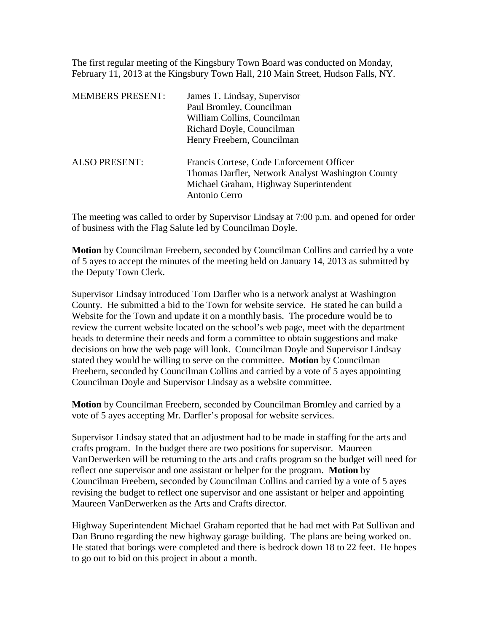The first regular meeting of the Kingsbury Town Board was conducted on Monday, February 11, 2013 at the Kingsbury Town Hall, 210 Main Street, Hudson Falls, NY.

| <b>MEMBERS PRESENT:</b> | James T. Lindsay, Supervisor                                                                                                                              |
|-------------------------|-----------------------------------------------------------------------------------------------------------------------------------------------------------|
|                         | Paul Bromley, Councilman                                                                                                                                  |
|                         | William Collins, Councilman                                                                                                                               |
|                         | Richard Doyle, Councilman                                                                                                                                 |
|                         | Henry Freebern, Councilman                                                                                                                                |
| <b>ALSO PRESENT:</b>    | Francis Cortese, Code Enforcement Officer<br>Thomas Darfler, Network Analyst Washington County<br>Michael Graham, Highway Superintendent<br>Antonio Cerro |

The meeting was called to order by Supervisor Lindsay at 7:00 p.m. and opened for order of business with the Flag Salute led by Councilman Doyle.

**Motion** by Councilman Freebern, seconded by Councilman Collins and carried by a vote of 5 ayes to accept the minutes of the meeting held on January 14, 2013 as submitted by the Deputy Town Clerk.

Supervisor Lindsay introduced Tom Darfler who is a network analyst at Washington County. He submitted a bid to the Town for website service. He stated he can build a Website for the Town and update it on a monthly basis. The procedure would be to review the current website located on the school's web page, meet with the department heads to determine their needs and form a committee to obtain suggestions and make decisions on how the web page will look. Councilman Doyle and Supervisor Lindsay stated they would be willing to serve on the committee. **Motion** by Councilman Freebern, seconded by Councilman Collins and carried by a vote of 5 ayes appointing Councilman Doyle and Supervisor Lindsay as a website committee.

**Motion** by Councilman Freebern, seconded by Councilman Bromley and carried by a vote of 5 ayes accepting Mr. Darfler's proposal for website services.

Supervisor Lindsay stated that an adjustment had to be made in staffing for the arts and crafts program. In the budget there are two positions for supervisor. Maureen VanDerwerken will be returning to the arts and crafts program so the budget will need for reflect one supervisor and one assistant or helper for the program. **Motion** by Councilman Freebern, seconded by Councilman Collins and carried by a vote of 5 ayes revising the budget to reflect one supervisor and one assistant or helper and appointing Maureen VanDerwerken as the Arts and Crafts director.

Highway Superintendent Michael Graham reported that he had met with Pat Sullivan and Dan Bruno regarding the new highway garage building. The plans are being worked on. He stated that borings were completed and there is bedrock down 18 to 22 feet. He hopes to go out to bid on this project in about a month.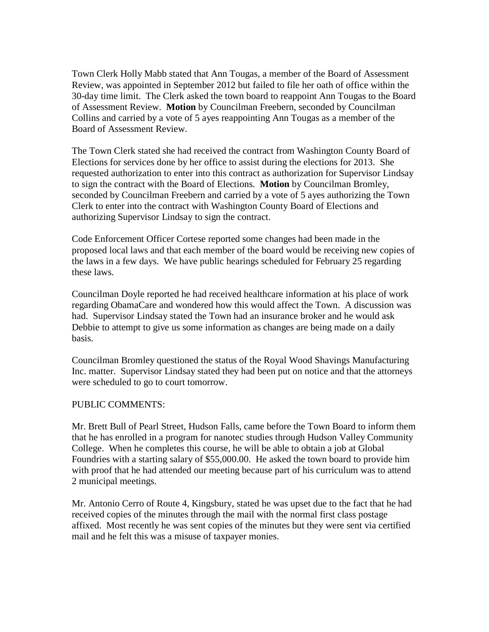Town Clerk Holly Mabb stated that Ann Tougas, a member of the Board of Assessment Review, was appointed in September 2012 but failed to file her oath of office within the 30-day time limit. The Clerk asked the town board to reappoint Ann Tougas to the Board of Assessment Review. **Motion** by Councilman Freebern, seconded by Councilman Collins and carried by a vote of 5 ayes reappointing Ann Tougas as a member of the Board of Assessment Review.

The Town Clerk stated she had received the contract from Washington County Board of Elections for services done by her office to assist during the elections for 2013. She requested authorization to enter into this contract as authorization for Supervisor Lindsay to sign the contract with the Board of Elections. **Motion** by Councilman Bromley, seconded by Councilman Freebern and carried by a vote of 5 ayes authorizing the Town Clerk to enter into the contract with Washington County Board of Elections and authorizing Supervisor Lindsay to sign the contract.

Code Enforcement Officer Cortese reported some changes had been made in the proposed local laws and that each member of the board would be receiving new copies of the laws in a few days. We have public hearings scheduled for February 25 regarding these laws.

Councilman Doyle reported he had received healthcare information at his place of work regarding ObamaCare and wondered how this would affect the Town. A discussion was had. Supervisor Lindsay stated the Town had an insurance broker and he would ask Debbie to attempt to give us some information as changes are being made on a daily basis.

Councilman Bromley questioned the status of the Royal Wood Shavings Manufacturing Inc. matter. Supervisor Lindsay stated they had been put on notice and that the attorneys were scheduled to go to court tomorrow.

## PUBLIC COMMENTS:

Mr. Brett Bull of Pearl Street, Hudson Falls, came before the Town Board to inform them that he has enrolled in a program for nanotec studies through Hudson Valley Community College. When he completes this course, he will be able to obtain a job at Global Foundries with a starting salary of \$55,000.00. He asked the town board to provide him with proof that he had attended our meeting because part of his curriculum was to attend 2 municipal meetings.

Mr. Antonio Cerro of Route 4, Kingsbury, stated he was upset due to the fact that he had received copies of the minutes through the mail with the normal first class postage affixed. Most recently he was sent copies of the minutes but they were sent via certified mail and he felt this was a misuse of taxpayer monies.